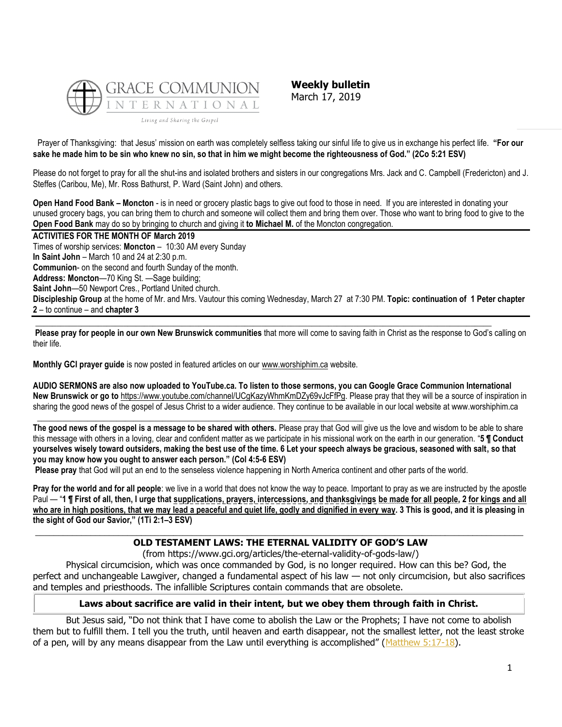

**Weekly bulletin** March 17, 2019

Prayer of Thanksgiving: that Jesus' mission on earth was completely selfless taking our sinful life to give us in exchange his perfect life. **"For our sake he made him to be sin who knew no sin, so that in him we might become the righteousness of God." (2Co 5:21 ESV)**

Please do not forget to pray for all the shut-ins and isolated brothers and sisters in our congregations Mrs. Jack and C. Campbell (Fredericton) and J. Steffes (Caribou, Me), Mr. Ross Bathurst, P. Ward (Saint John) and others.

**Open Hand Food Bank – Moncton** - is in need or grocery plastic bags to give out food to those in need. If you are interested in donating your unused grocery bags, you can bring them to church and someone will collect them and bring them over. Those who want to bring food to give to the **Open Food Bank** may do so by bringing to church and giving it **to Michael M.** of the Moncton congregation.

#### **ACTIVITIES FOR THE MONTH OF March 2019**

Times of worship services: **Moncton** – 10:30 AM every Sunday **In Saint John** – March 10 and 24 at 2:30 p.m. **Communion**- on the second and fourth Sunday of the month. **Address: Moncton**—70 King St. —Sage building; **Saint John**—50 Newport Cres., Portland United church. **Discipleship Group** at the home of Mr. and Mrs. Vautour this coming Wednesday, March 27 at 7:30 PM. **Topic: continuation of 1 Peter chapter 2** – to continue – and **chapter 3**  $\_$  ,  $\_$  ,  $\_$  ,  $\_$  ,  $\_$  ,  $\_$  ,  $\_$  ,  $\_$  ,  $\_$  ,  $\_$  ,  $\_$  ,  $\_$  ,  $\_$  ,  $\_$  ,  $\_$  ,  $\_$  ,  $\_$  ,  $\_$  ,  $\_$  ,  $\_$  ,  $\_$  ,  $\_$  ,  $\_$  ,  $\_$  ,  $\_$  ,  $\_$  ,  $\_$  ,  $\_$  ,  $\_$  ,  $\_$  ,  $\_$  ,  $\_$  ,  $\_$  ,  $\_$  ,  $\_$  ,  $\_$  ,  $\_$  ,

**Please pray for people in our own New Brunswick communities** that more will come to saving faith in Christ as the response to God's calling on their life.

**Monthly GCI prayer guide** is now posted in featured articles on our [www.worshiphim.ca](http://www.worshiphim.ca/) website.

**AUDIO SERMONS are also now uploaded to YouTube.ca. To listen to those sermons, you can Google Grace Communion International New Brunswick or go to** [https://www.youtube.com/channel/UCgKazyWhmKmDZy69vJcFfPg.](https://www.youtube.com/channel/UCgKazyWhmKmDZy69vJcFfPg) Please pray that they will be a source of inspiration in sharing the good news of the gospel of Jesus Christ to a wider audience. They continue to be available in our local website at www.worshiphim.ca

**\_\_\_\_\_\_\_\_\_\_\_\_\_\_\_\_\_\_\_\_\_\_\_\_\_\_\_\_\_\_\_\_\_\_\_\_\_\_\_\_\_\_\_\_\_\_\_\_\_\_\_\_\_\_\_\_\_\_\_\_\_\_\_\_\_\_\_\_\_\_\_\_\_\_\_\_\_\_ The good news of the gospel is a message to be shared with others.** Please pray that God will give us the love and wisdom to be able to share this message with others in a loving, clear and confident matter as we participate in his missional work on the earth in our generation. "**5 ¶ Conduct yourselves wisely toward outsiders, making the best use of the time. 6 Let your speech always be gracious, seasoned with salt, so that you may know how you ought to answer each person." (Col 4:5-6 ESV)**

**Please pray** that God will put an end to the senseless violence happening in North America continent and other parts of the world.

**Pray for the world and for all people**: we live in a world that does not know the way to peace. Important to pray as we are instructed by the apostle Paul — "**1 ¶ First of all, then, I urge that supplications, prayers, intercessions, and thanksgivings be made for all people, 2 for kings and all who are in high positions, that we may lead a peaceful and quiet life, godly and dignified in every way. 3 This is good, and it is pleasing in the sight of God our Savior," (1Ti 2:1–3 ESV)**

## **\_\_\_\_\_\_\_\_\_\_\_\_\_\_\_\_\_\_\_\_\_\_\_\_\_\_\_\_\_\_\_\_\_\_\_\_\_\_\_\_\_\_\_\_\_\_\_\_\_\_\_\_\_\_\_\_\_\_\_\_\_\_\_\_\_\_\_\_\_\_\_\_\_\_\_\_\_\_\_\_\_\_\_\_\_\_\_\_\_\_\_\_\_\_\_\_\_\_\_\_\_\_\_\_\_\_ OLD TESTAMENT LAWS: THE ETERNAL VALIDITY OF GOD'S LAW**

(from https://www.gci.org/articles/the-eternal-validity-of-gods-law/)

Physical circumcision, which was once commanded by God, is no longer required. How can this be? God, the perfect and unchangeable Lawgiver, changed a fundamental aspect of his law — not only circumcision, but also sacrifices and temples and priesthoods. The infallible Scriptures contain commands that are obsolete.

### **Laws about sacrifice are valid in their intent, but we obey them through faith in Christ.**

But Jesus said, "Do not think that I have come to abolish the Law or the Prophets; I have not come to abolish them but to fulfill them. I tell you the truth, until heaven and earth disappear, not the smallest letter, not the least stroke of a pen, will by any means disappear from the Law until everything is accomplished" (Matthew  $5:17-18$ ).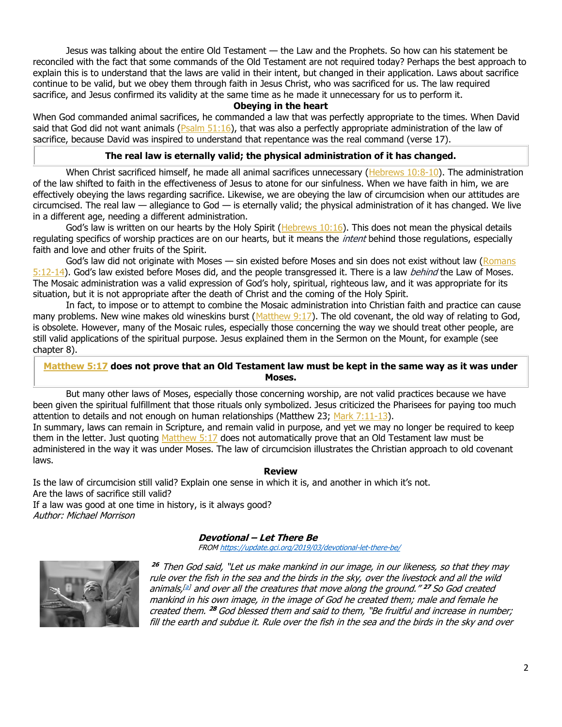Jesus was talking about the entire Old Testament — the Law and the Prophets. So how can his statement be reconciled with the fact that some commands of the Old Testament are not required today? Perhaps the best approach to explain this is to understand that the laws are valid in their intent, but changed in their application. Laws about sacrifice continue to be valid, but we obey them through faith in Jesus Christ, who was sacrificed for us. The law required sacrifice, and Jesus confirmed its validity at the same time as he made it unnecessary for us to perform it.

### **Obeying in the heart**

When God commanded animal sacrifices, he commanded a law that was perfectly appropriate to the times. When David said that God did not want animals ( $P_{\text{Salm}}$  51:16), that was also a perfectly appropriate administration of the law of sacrifice, because David was inspired to understand that repentance was the real command (verse 17).

## **The real law is eternally valid; the physical administration of it has changed.**

When Christ sacrificed himself, he made all animal sacrifices unnecessary [\(Hebrews 10:8-10\)](https://biblia.com/bible/niv/Heb%2010.8-10). The administration of the law shifted to faith in the effectiveness of Jesus to atone for our sinfulness. When we have faith in him, we are effectively obeying the laws regarding sacrifice. Likewise, we are obeying the law of circumcision when our attitudes are circumcised. The real law  $-$  allegiance to God  $-$  is eternally valid; the physical administration of it has changed. We live in a different age, needing a different administration.

God's law is written on our hearts by the Holy Spirit ( $Hebrews 10:16$ ). This does not mean the physical details regulating specifics of worship practices are on our hearts, but it means the *intent* behind those regulations, especially faith and love and other fruits of the Spirit.

God's law did not originate with Moses — sin existed before Moses and sin does not exist without law (Romans [5:12-14](https://biblia.com/bible/niv/Rom%205.12-14)). God's law existed before Moses did, and the people transgressed it. There is a law *behind* the Law of Moses. The Mosaic administration was a valid expression of God's holy, spiritual, righteous law, and it was appropriate for its situation, but it is not appropriate after the death of Christ and the coming of the Holy Spirit.

In fact, to impose or to attempt to combine the Mosaic administration into Christian faith and practice can cause many problems. New wine makes old wineskins burst ( $Matthew 9:17$ ). The old covenant, the old way of relating to God, is obsolete. However, many of the Mosaic rules, especially those concerning the way we should treat other people, are still valid applications of the spiritual purpose. Jesus explained them in the Sermon on the Mount, for example (see chapter 8).

## **[Matthew 5:17](https://biblia.com/bible/niv/Matt%205.17) does not prove that an Old Testament law must be kept in the same way as it was under Moses.**

But many other laws of Moses, especially those concerning worship, are not valid practices because we have been given the spiritual fulfillment that those rituals only symbolized. Jesus criticized the Pharisees for paying too much attention to details and not enough on human relationships (Matthew 23; Mark  $7:11-13$ ). In summary, laws can remain in Scripture, and remain valid in purpose, and yet we may no longer be required to keep them in the letter. Just quoting [Matthew 5:17](https://biblia.com/bible/niv/Matt%205.17) does not automatically prove that an Old Testament law must be administered in the way it was under Moses. The law of circumcision illustrates the Christian approach to old covenant laws.

### **Review**

Is the law of circumcision still valid? Explain one sense in which it is, and another in which it's not. Are the laws of sacrifice still valid? If a law was good at one time in history, is it always good?

Author: Michael Morrison

# **Devotional – Let There Be**

FRO[M https://update.gci.org/2019/03/devotional-let-there-be/](https://update.gci.org/2019/03/devotional-let-there-be/)



**<sup>26</sup>**Then God said, "Let us make mankind in our image, in our likeness, so that they may rule over the fish in the sea and the birds in the sky, over the livestock and all the wild animals, [\[a\]](https://www.biblegateway.com/passage/?search=Genesis+1&version=NIV#fen-NIV-26a) and over all the creatures that move along the ground." **<sup>27</sup>** So God created mankind in his own image, in the image of God he created them; male and female he created them. **<sup>28</sup>** God blessed them and said to them, "Be fruitful and increase in number; fill the earth and subdue it. Rule over the fish in the sea and the birds in the sky and over